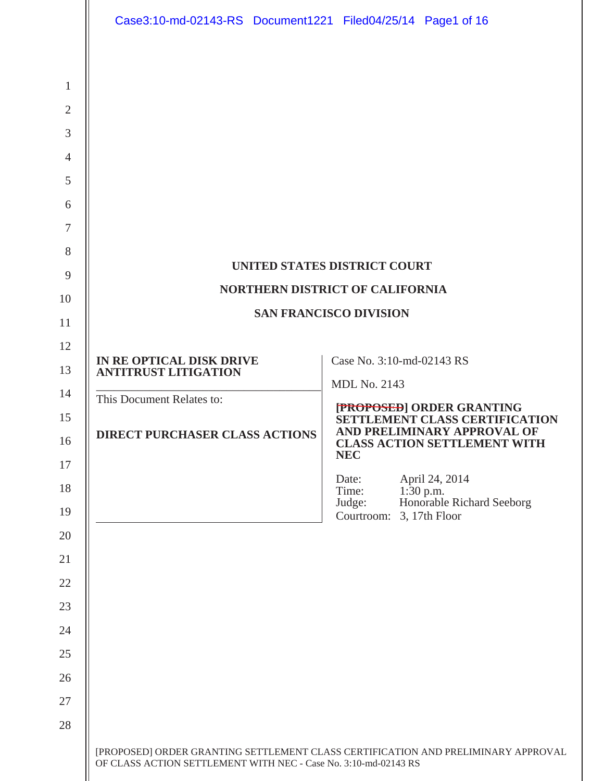|                | Case3:10-md-02143-RS Document1221 Filed04/25/14 Page1 of 16     |                                                                                            |  |  |  |
|----------------|-----------------------------------------------------------------|--------------------------------------------------------------------------------------------|--|--|--|
|                |                                                                 |                                                                                            |  |  |  |
| $\mathbf{1}$   |                                                                 |                                                                                            |  |  |  |
| $\overline{2}$ |                                                                 |                                                                                            |  |  |  |
| 3              |                                                                 |                                                                                            |  |  |  |
| $\overline{4}$ |                                                                 |                                                                                            |  |  |  |
| 5              |                                                                 |                                                                                            |  |  |  |
| 6              |                                                                 |                                                                                            |  |  |  |
| 7              |                                                                 |                                                                                            |  |  |  |
| 8              |                                                                 |                                                                                            |  |  |  |
| 9              |                                                                 | UNITED STATES DISTRICT COURT                                                               |  |  |  |
| 10             |                                                                 | <b>NORTHERN DISTRICT OF CALIFORNIA</b>                                                     |  |  |  |
| 11             | <b>SAN FRANCISCO DIVISION</b>                                   |                                                                                            |  |  |  |
| 12             | IN RE OPTICAL DISK DRIVE                                        | Case No. 3:10-md-02143 RS                                                                  |  |  |  |
| 13             | <b>ANTITRUST LITIGATION</b>                                     | <b>MDL No. 2143</b>                                                                        |  |  |  |
| 14             | This Document Relates to:                                       |                                                                                            |  |  |  |
| 15<br>16       | <b>DIRECT PURCHASER CLASS ACTIONS</b>                           | [PROPOSED] ORDER GRANTING<br>SETTLEMENT CLASS CERTIFICATION<br>AND PRELIMINARY APPROVAL OF |  |  |  |
| 17             |                                                                 | <b>CLASS ACTION SETTLEMENT WITH</b><br><b>NEC</b>                                          |  |  |  |
| 18             |                                                                 | April 24, 2014<br>Date:<br>$1:30$ p.m.<br>Time:                                            |  |  |  |
| 19             |                                                                 | Honorable Richard Seeborg<br>Judge:<br>3, 17th Floor<br>Courtroom:                         |  |  |  |
| 20             |                                                                 |                                                                                            |  |  |  |
| 21             |                                                                 |                                                                                            |  |  |  |
| 22             |                                                                 |                                                                                            |  |  |  |
| 23             |                                                                 |                                                                                            |  |  |  |
| 24             |                                                                 |                                                                                            |  |  |  |
| 25             |                                                                 |                                                                                            |  |  |  |
| 26             |                                                                 |                                                                                            |  |  |  |
| 27             |                                                                 |                                                                                            |  |  |  |
| 28             |                                                                 |                                                                                            |  |  |  |
|                | OF CLASS ACTION SETTLEMENT WITH NEC - Case No. 3:10-md-02143 RS | [PROPOSED] ORDER GRANTING SETTLEMENT CLASS CERTIFICATION AND PRELIMINARY APPROVAL          |  |  |  |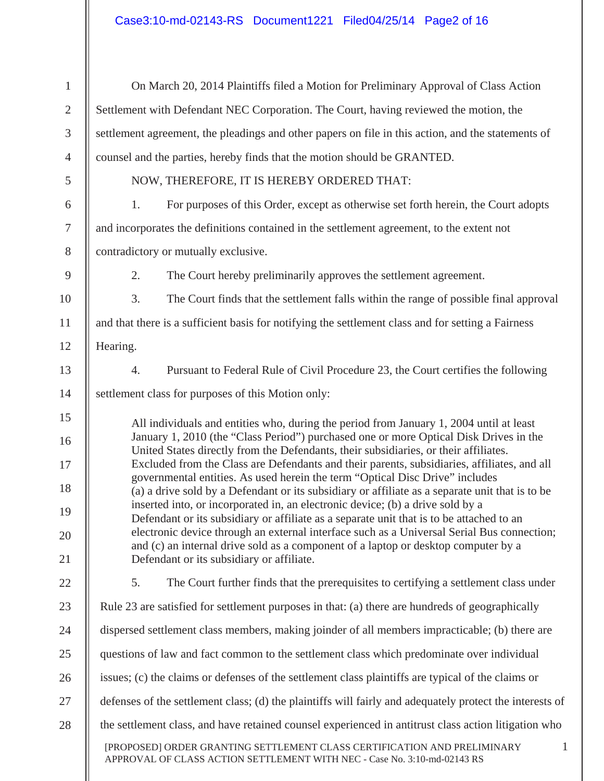| $\mathbf{1}$     |                                                                                                                                                                               | On March 20, 2014 Plaintiffs filed a Motion for Preliminary Approval of Class Action                                                                                              |  |
|------------------|-------------------------------------------------------------------------------------------------------------------------------------------------------------------------------|-----------------------------------------------------------------------------------------------------------------------------------------------------------------------------------|--|
| $\mathbf{2}$     | Settlement with Defendant NEC Corporation. The Court, having reviewed the motion, the                                                                                         |                                                                                                                                                                                   |  |
| 3                | settlement agreement, the pleadings and other papers on file in this action, and the statements of                                                                            |                                                                                                                                                                                   |  |
| $\overline{4}$   | counsel and the parties, hereby finds that the motion should be GRANTED.                                                                                                      |                                                                                                                                                                                   |  |
| 5                |                                                                                                                                                                               | NOW, THEREFORE, IT IS HEREBY ORDERED THAT:                                                                                                                                        |  |
| 6                | 1.                                                                                                                                                                            | For purposes of this Order, except as otherwise set forth herein, the Court adopts                                                                                                |  |
| $\boldsymbol{7}$ |                                                                                                                                                                               | and incorporates the definitions contained in the settlement agreement, to the extent not                                                                                         |  |
| $8\,$            | contradictory or mutually exclusive.                                                                                                                                          |                                                                                                                                                                                   |  |
| $\mathbf{9}$     | 2.                                                                                                                                                                            | The Court hereby preliminarily approves the settlement agreement.                                                                                                                 |  |
| 10               | 3.                                                                                                                                                                            | The Court finds that the settlement falls within the range of possible final approval                                                                                             |  |
| 11               |                                                                                                                                                                               | and that there is a sufficient basis for notifying the settlement class and for setting a Fairness                                                                                |  |
| 12               | Hearing.                                                                                                                                                                      |                                                                                                                                                                                   |  |
| 13               | 4.                                                                                                                                                                            | Pursuant to Federal Rule of Civil Procedure 23, the Court certifies the following                                                                                                 |  |
| 14               | settlement class for purposes of this Motion only:                                                                                                                            |                                                                                                                                                                                   |  |
| 15               |                                                                                                                                                                               | All individuals and entities who, during the period from January 1, 2004 until at least                                                                                           |  |
| 16               | January 1, 2010 (the "Class Period") purchased one or more Optical Disk Drives in the<br>United States directly from the Defendants, their subsidiaries, or their affiliates. |                                                                                                                                                                                   |  |
| 17               |                                                                                                                                                                               | Excluded from the Class are Defendants and their parents, subsidiaries, affiliates, and all<br>governmental entities. As used herein the term "Optical Disc Drive" includes       |  |
| 18               |                                                                                                                                                                               | (a) a drive sold by a Defendant or its subsidiary or affiliate as a separate unit that is to be<br>inserted into, or incorporated in, an electronic device; (b) a drive sold by a |  |
| 19               |                                                                                                                                                                               | Defendant or its subsidiary or affiliate as a separate unit that is to be attached to an                                                                                          |  |
| 20               |                                                                                                                                                                               | electronic device through an external interface such as a Universal Serial Bus connection;<br>and (c) an internal drive sold as a component of a laptop or desktop computer by a  |  |
| 21               |                                                                                                                                                                               | Defendant or its subsidiary or affiliate.                                                                                                                                         |  |
| 22               | 5.                                                                                                                                                                            | The Court further finds that the prerequisites to certifying a settlement class under                                                                                             |  |
| 23               |                                                                                                                                                                               | Rule 23 are satisfied for settlement purposes in that: (a) there are hundreds of geographically                                                                                   |  |
| 24               | dispersed settlement class members, making joinder of all members impracticable; (b) there are                                                                                |                                                                                                                                                                                   |  |
| 25               | questions of law and fact common to the settlement class which predominate over individual                                                                                    |                                                                                                                                                                                   |  |
| 26               |                                                                                                                                                                               | issues; (c) the claims or defenses of the settlement class plaintiffs are typical of the claims or                                                                                |  |
| 27               |                                                                                                                                                                               | defenses of the settlement class; (d) the plaintiffs will fairly and adequately protect the interests of                                                                          |  |
| 28               |                                                                                                                                                                               | the settlement class, and have retained counsel experienced in antitrust class action litigation who                                                                              |  |
|                  |                                                                                                                                                                               | [PROPOSED] ORDER GRANTING SETTLEMENT CLASS CERTIFICATION AND PRELIMINARY<br>$\mathbf{1}$<br>APPROVAL OF CLASS ACTION SETTLEMENT WITH NEC - Case No. 3:10-md-02143 RS              |  |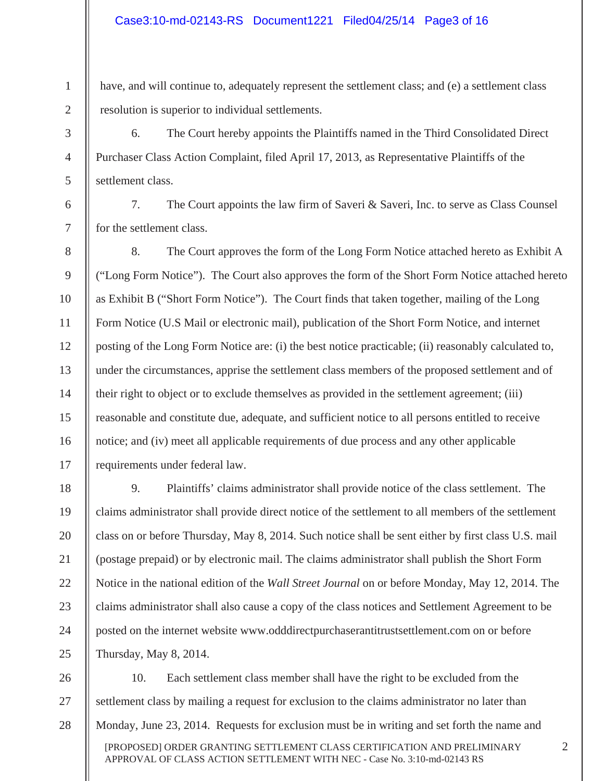1

2

3

4

5

6

7

8

9

10

11

12

13

14

15

16

17

have, and will continue to, adequately represent the settlement class; and (e) a settlement class resolution is superior to individual settlements.

6. The Court hereby appoints the Plaintiffs named in the Third Consolidated Direct Purchaser Class Action Complaint, filed April 17, 2013, as Representative Plaintiffs of the settlement class.

7. The Court appoints the law firm of Saveri & Saveri, Inc. to serve as Class Counsel for the settlement class.

8. The Court approves the form of the Long Form Notice attached hereto as Exhibit A ("Long Form Notice"). The Court also approves the form of the Short Form Notice attached hereto as Exhibit B ("Short Form Notice"). The Court finds that taken together, mailing of the Long Form Notice (U.S Mail or electronic mail), publication of the Short Form Notice, and internet posting of the Long Form Notice are: (i) the best notice practicable; (ii) reasonably calculated to, under the circumstances, apprise the settlement class members of the proposed settlement and of their right to object or to exclude themselves as provided in the settlement agreement; (iii) reasonable and constitute due, adequate, and sufficient notice to all persons entitled to receive notice; and (iv) meet all applicable requirements of due process and any other applicable requirements under federal law.

18 19 20 21 22 23 24 25 9. Plaintiffs' claims administrator shall provide notice of the class settlement. The claims administrator shall provide direct notice of the settlement to all members of the settlement class on or before Thursday, May 8, 2014. Such notice shall be sent either by first class U.S. mail (postage prepaid) or by electronic mail. The claims administrator shall publish the Short Form Notice in the national edition of the *Wall Street Journal* on or before Monday, May 12, 2014. The claims administrator shall also cause a copy of the class notices and Settlement Agreement to be posted on the internet website www.odddirectpurchaserantitrustsettlement.com on or before Thursday, May 8, 2014.

[PROPOSED] ORDER GRANTING SETTLEMENT CLASS CERTIFICATION AND PRELIMINARY APPROVAL OF CLASS ACTION SETTLEMENT WITH NEC - Case No. 3:10-md-02143 RS 26 27 28 10. Each settlement class member shall have the right to be excluded from the settlement class by mailing a request for exclusion to the claims administrator no later than Monday, June 23, 2014. Requests for exclusion must be in writing and set forth the name and

2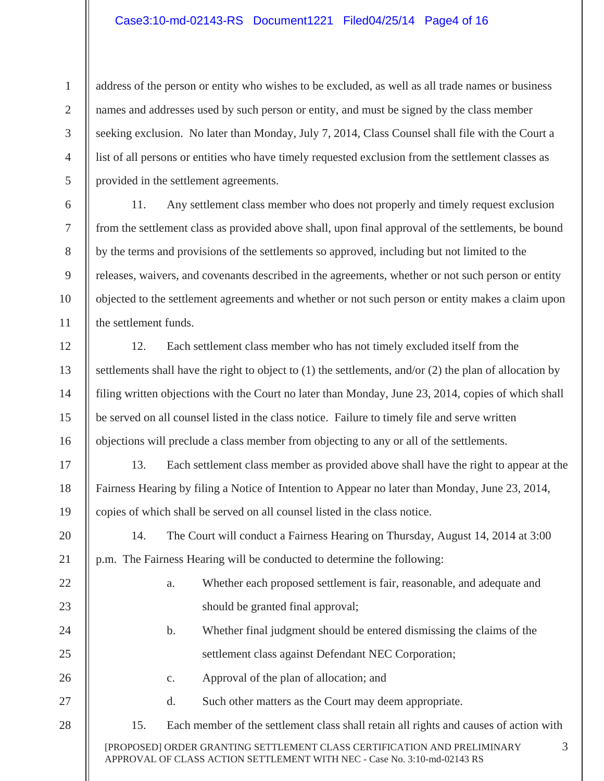### Case3:10-md-02143-RS Document1221 Filed04/25/14 Page4 of 16

1

2

3

4

5

6

7

8

9

10

11

12

13

14

15

16

17

18

19

20

21

22

23

24

25

26

27

28

address of the person or entity who wishes to be excluded, as well as all trade names or business names and addresses used by such person or entity, and must be signed by the class member seeking exclusion. No later than Monday, July 7, 2014, Class Counsel shall file with the Court a list of all persons or entities who have timely requested exclusion from the settlement classes as provided in the settlement agreements.

11. Any settlement class member who does not properly and timely request exclusion from the settlement class as provided above shall, upon final approval of the settlements, be bound by the terms and provisions of the settlements so approved, including but not limited to the releases, waivers, and covenants described in the agreements, whether or not such person or entity objected to the settlement agreements and whether or not such person or entity makes a claim upon the settlement funds.

12. Each settlement class member who has not timely excluded itself from the settlements shall have the right to object to (1) the settlements, and/or (2) the plan of allocation by filing written objections with the Court no later than Monday, June 23, 2014, copies of which shall be served on all counsel listed in the class notice. Failure to timely file and serve written objections will preclude a class member from objecting to any or all of the settlements.

13. Each settlement class member as provided above shall have the right to appear at the Fairness Hearing by filing a Notice of Intention to Appear no later than Monday, June 23, 2014, copies of which shall be served on all counsel listed in the class notice.

14. The Court will conduct a Fairness Hearing on Thursday, August 14, 2014 at 3:00 p.m. The Fairness Hearing will be conducted to determine the following:

- a. Whether each proposed settlement is fair, reasonable, and adequate and should be granted final approval;
- b. Whether final judgment should be entered dismissing the claims of the settlement class against Defendant NEC Corporation;

3

- c. Approval of the plan of allocation; and
	- d. Such other matters as the Court may deem appropriate.
- 15. Each member of the settlement class shall retain all rights and causes of action with

[PROPOSED] ORDER GRANTING SETTLEMENT CLASS CERTIFICATION AND PRELIMINARY APPROVAL OF CLASS ACTION SETTLEMENT WITH NEC - Case No. 3:10-md-02143 RS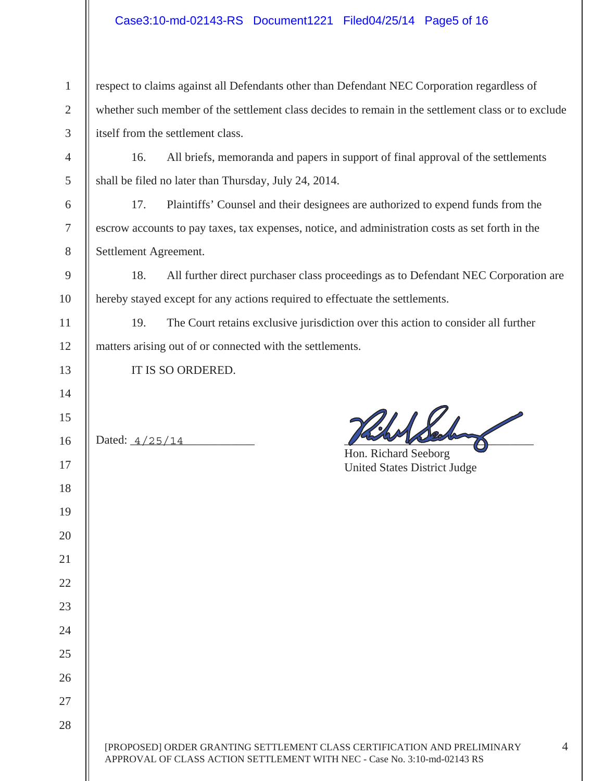## Case3:10-md-02143-RS Document1221 Filed04/25/14 Page5 of 16

| 1 $\parallel$ respect to claims against all Defendants other than Defendant NEC Corporation regardless of |  |  |
|-----------------------------------------------------------------------------------------------------------|--|--|
| 2   whether such member of the settlement class decides to remain in the settlement class or to exclude   |  |  |
| $3$ itself from the settlement class.                                                                     |  |  |
| 4   16. All briefs, memoranda and papers in support of final approval of the settlements                  |  |  |
| 5   shall be filed no later than Thursday, July 24, 2014.                                                 |  |  |

17. Plaintiffs' Counsel and their designees are authorized to expend funds from the escrow accounts to pay taxes, tax expenses, notice, and administration costs as set forth in the Settlement Agreement.

18. All further direct purchaser class proceedings as to Defendant NEC Corporation are hereby stayed except for any actions required to effectuate the settlements.

19. The Court retains exclusive jurisdiction over this action to consider all further matters arising out of or connected with the settlements.

IT IS SO ORDERED.

 $Dated: \_4/25/14$  and  $Dated: \_4/25/14$ 

 Hon. Richard Seeborg United States District Judge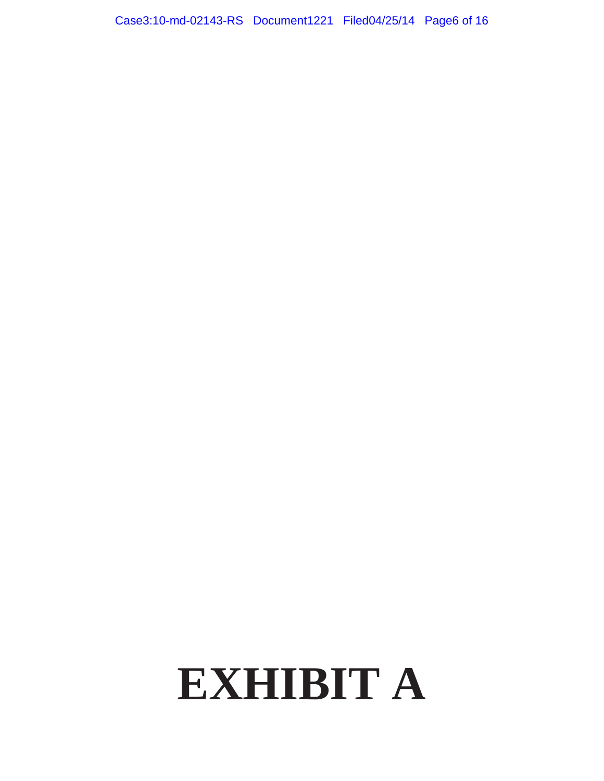# **EXHIBIT A**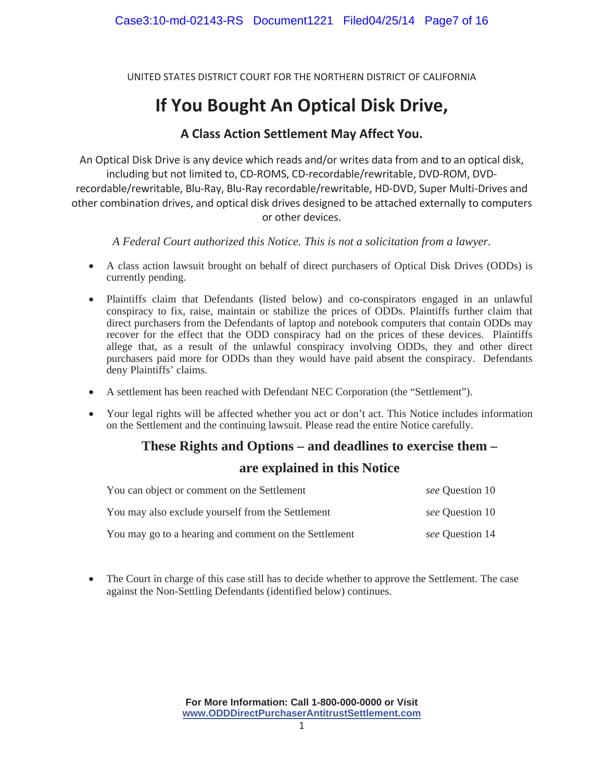UNITED STATES DISTRICT COURT FOR THE NORTHERN DISTRICT OF CALIFORNIA

# **If You Bought An Optical Disk Drive,**

# **A Class Action Settlement May Affect You.**

An Optical Disk Drive is any device which reads and/or writes data from and to an optical disk, including but not limited to, CD-ROMS, CD-recordable/rewritable, DVD-ROM, DVDrecordable/rewritable, Blu-Ray, Blu-Ray recordable/rewritable, HD-DVD, Super Multi-Drives and other combination drives, and optical disk drives designed to be attached externally to computers or other devices.

*A Federal Court authorized this Notice. This is not a solicitation from a lawyer.* 

- A class action lawsuit brought on behalf of direct purchasers of Optical Disk Drives (ODDs) is currently pending.
- Plaintiffs claim that Defendants (listed below) and co-conspirators engaged in an unlawful conspiracy to fix, raise, maintain or stabilize the prices of ODDs. Plaintiffs further claim that direct purchasers from the Defendants of laptop and notebook computers that contain ODDs may recover for the effect that the ODD conspiracy had on the prices of these devices. Plaintiffs allege that, as a result of the unlawful conspiracy involving ODDs, they and other direct purchasers paid more for ODDs than they would have paid absent the conspiracy. Defendants deny Plaintiffs' claims.
- x A settlement has been reached with Defendant NEC Corporation (the "Settlement").
- Your legal rights will be affected whether you act or don't act. This Notice includes information on the Settlement and the continuing lawsuit. Please read the entire Notice carefully.

## **These Rights and Options – and deadlines to exercise them –**

## **are explained in this Notice**

| You can object or comment on the Settlement           | see Question 10 |
|-------------------------------------------------------|-----------------|
| You may also exclude yourself from the Settlement     | see Question 10 |
| You may go to a hearing and comment on the Settlement | see Question 14 |

• The Court in charge of this case still has to decide whether to approve the Settlement. The case against the Non-Settling Defendants (identified below) continues.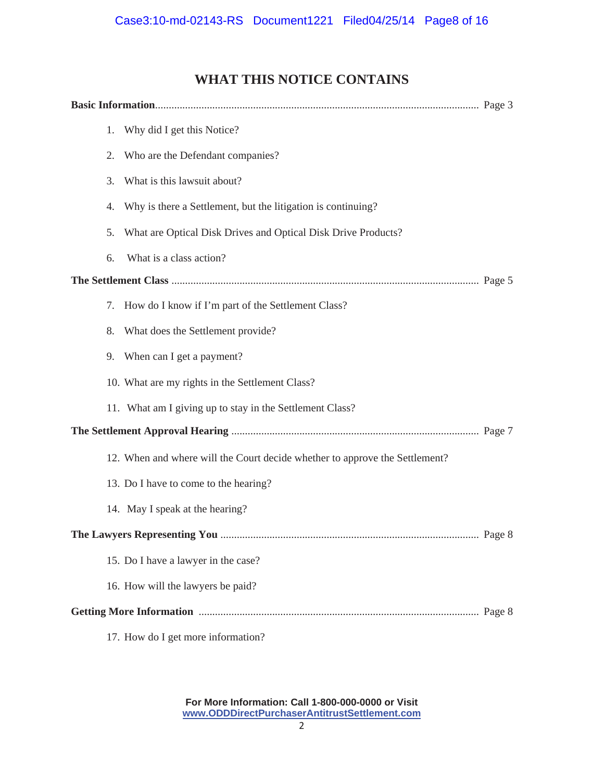# **WHAT THIS NOTICE CONTAINS**

|  | 1. | Why did I get this Notice?                                                  |  |
|--|----|-----------------------------------------------------------------------------|--|
|  | 2. | Who are the Defendant companies?                                            |  |
|  | 3. | What is this lawsuit about?                                                 |  |
|  | 4. | Why is there a Settlement, but the litigation is continuing?                |  |
|  | 5. | What are Optical Disk Drives and Optical Disk Drive Products?               |  |
|  | 6. | What is a class action?                                                     |  |
|  |    |                                                                             |  |
|  | 7. | How do I know if I'm part of the Settlement Class?                          |  |
|  | 8. | What does the Settlement provide?                                           |  |
|  |    | 9. When can I get a payment?                                                |  |
|  |    | 10. What are my rights in the Settlement Class?                             |  |
|  |    | 11. What am I giving up to stay in the Settlement Class?                    |  |
|  |    |                                                                             |  |
|  |    | 12. When and where will the Court decide whether to approve the Settlement? |  |
|  |    | 13. Do I have to come to the hearing?                                       |  |
|  |    | 14. May I speak at the hearing?                                             |  |
|  |    |                                                                             |  |
|  |    | 15. Do I have a lawyer in the case?                                         |  |
|  |    | 16. How will the lawyers be paid?                                           |  |
|  |    |                                                                             |  |
|  |    | 17. How do I get more information?                                          |  |

**For More Information: Call 1-800-000-0000 or Visit www.ODDDirectPurchaserAntitrustSettlement.com**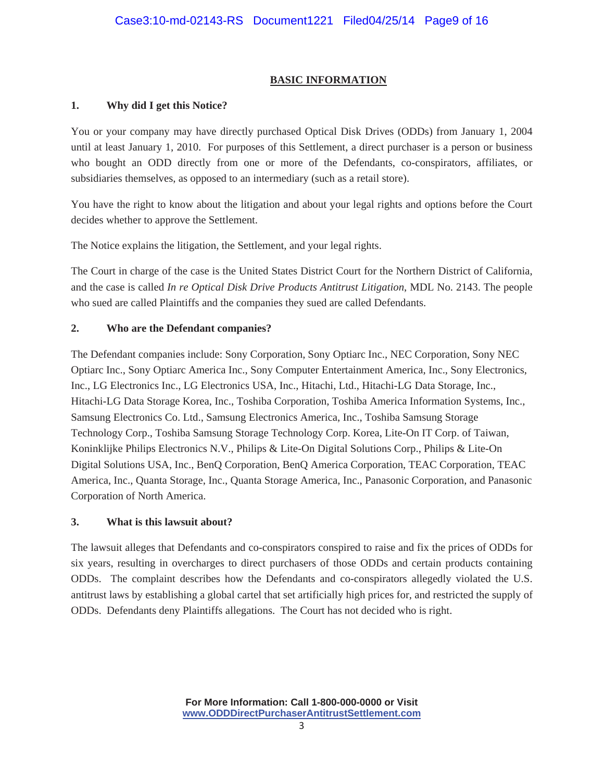### **BASIC INFORMATION**

### **1. Why did I get this Notice?**

You or your company may have directly purchased Optical Disk Drives (ODDs) from January 1, 2004 until at least January 1, 2010. For purposes of this Settlement, a direct purchaser is a person or business who bought an ODD directly from one or more of the Defendants, co-conspirators, affiliates, or subsidiaries themselves, as opposed to an intermediary (such as a retail store).

You have the right to know about the litigation and about your legal rights and options before the Court decides whether to approve the Settlement.

The Notice explains the litigation, the Settlement, and your legal rights.

The Court in charge of the case is the United States District Court for the Northern District of California, and the case is called *In re Optical Disk Drive Products Antitrust Litigation*, MDL No. 2143. The people who sued are called Plaintiffs and the companies they sued are called Defendants.

### **2. Who are the Defendant companies?**

The Defendant companies include: Sony Corporation, Sony Optiarc Inc., NEC Corporation, Sony NEC Optiarc Inc., Sony Optiarc America Inc., Sony Computer Entertainment America, Inc., Sony Electronics, Inc., LG Electronics Inc., LG Electronics USA, Inc., Hitachi, Ltd., Hitachi-LG Data Storage, Inc., Hitachi-LG Data Storage Korea, Inc., Toshiba Corporation, Toshiba America Information Systems, Inc., Samsung Electronics Co. Ltd., Samsung Electronics America, Inc., Toshiba Samsung Storage Technology Corp., Toshiba Samsung Storage Technology Corp. Korea, Lite-On IT Corp. of Taiwan, Koninklijke Philips Electronics N.V., Philips & Lite-On Digital Solutions Corp., Philips & Lite-On Digital Solutions USA, Inc., BenQ Corporation, BenQ America Corporation, TEAC Corporation, TEAC America, Inc., Quanta Storage, Inc., Quanta Storage America, Inc., Panasonic Corporation, and Panasonic Corporation of North America.

#### **3. What is this lawsuit about?**

The lawsuit alleges that Defendants and co-conspirators conspired to raise and fix the prices of ODDs for six years, resulting in overcharges to direct purchasers of those ODDs and certain products containing ODDs. The complaint describes how the Defendants and co-conspirators allegedly violated the U.S. antitrust laws by establishing a global cartel that set artificially high prices for, and restricted the supply of ODDs. Defendants deny Plaintiffs allegations. The Court has not decided who is right.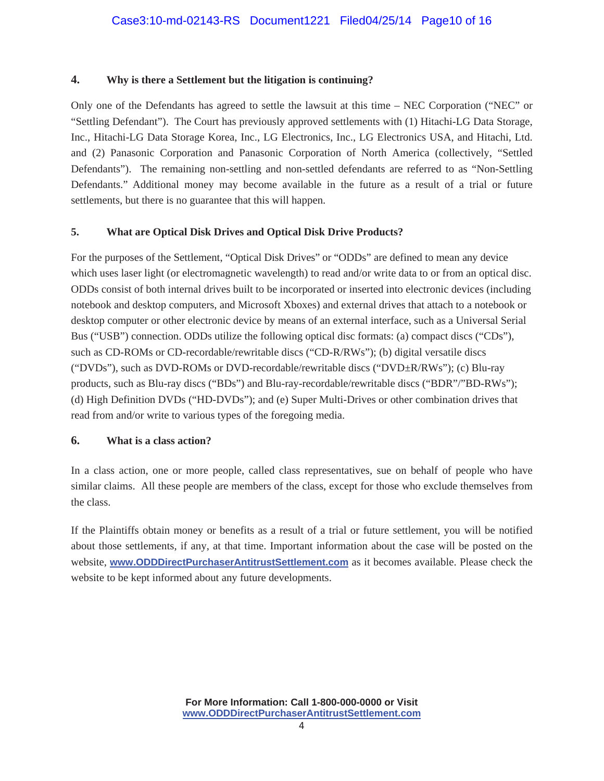#### **4. Why is there a Settlement but the litigation is continuing?**

Only one of the Defendants has agreed to settle the lawsuit at this time – NEC Corporation ("NEC" or "Settling Defendant"). The Court has previously approved settlements with (1) Hitachi-LG Data Storage, Inc., Hitachi-LG Data Storage Korea, Inc., LG Electronics, Inc., LG Electronics USA, and Hitachi, Ltd. and (2) Panasonic Corporation and Panasonic Corporation of North America (collectively, "Settled Defendants"). The remaining non-settling and non-settled defendants are referred to as "Non-Settling Defendants." Additional money may become available in the future as a result of a trial or future settlements, but there is no guarantee that this will happen.

#### **5. What are Optical Disk Drives and Optical Disk Drive Products?**

For the purposes of the Settlement, "Optical Disk Drives" or "ODDs" are defined to mean any device which uses laser light (or electromagnetic wavelength) to read and/or write data to or from an optical disc. ODDs consist of both internal drives built to be incorporated or inserted into electronic devices (including notebook and desktop computers, and Microsoft Xboxes) and external drives that attach to a notebook or desktop computer or other electronic device by means of an external interface, such as a Universal Serial Bus ("USB") connection. ODDs utilize the following optical disc formats: (a) compact discs ("CDs"), such as CD-ROMs or CD-recordable/rewritable discs ("CD-R/RWs"); (b) digital versatile discs ("DVDs"), such as DVD-ROMs or DVD-recordable/rewritable discs ("DVD±R/RWs"); (c) Blu-ray products, such as Blu-ray discs ("BDs") and Blu-ray-recordable/rewritable discs ("BDR"/"BD-RWs"); (d) High Definition DVDs ("HD-DVDs"); and (e) Super Multi-Drives or other combination drives that read from and/or write to various types of the foregoing media.

#### **6. What is a class action?**

In a class action, one or more people, called class representatives, sue on behalf of people who have similar claims. All these people are members of the class, except for those who exclude themselves from the class.

If the Plaintiffs obtain money or benefits as a result of a trial or future settlement, you will be notified about those settlements, if any, at that time. Important information about the case will be posted on the website, **www.ODDDirectPurchaserAntitrustSettlement.com** as it becomes available. Please check the website to be kept informed about any future developments.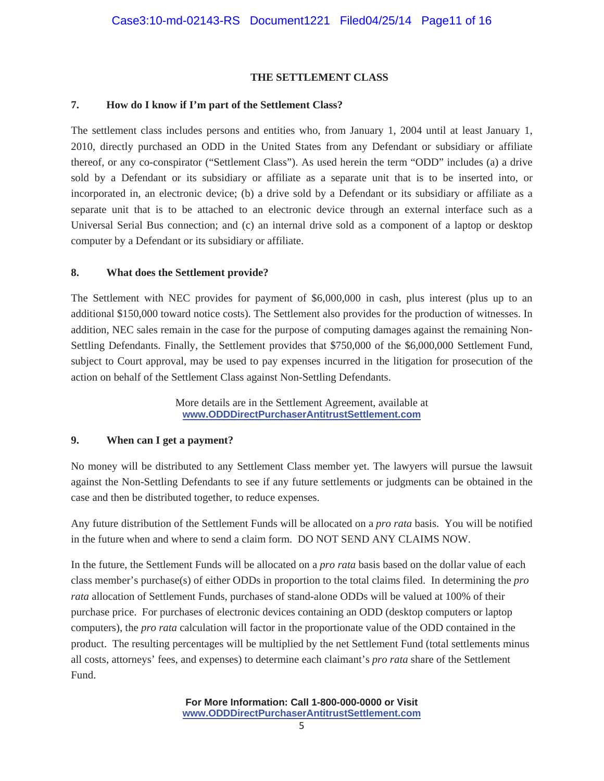#### **THE SETTLEMENT CLASS**

#### **7. How do I know if I'm part of the Settlement Class?**

The settlement class includes persons and entities who, from January 1, 2004 until at least January 1, 2010, directly purchased an ODD in the United States from any Defendant or subsidiary or affiliate thereof, or any co-conspirator ("Settlement Class"). As used herein the term "ODD" includes (a) a drive sold by a Defendant or its subsidiary or affiliate as a separate unit that is to be inserted into, or incorporated in, an electronic device; (b) a drive sold by a Defendant or its subsidiary or affiliate as a separate unit that is to be attached to an electronic device through an external interface such as a Universal Serial Bus connection; and (c) an internal drive sold as a component of a laptop or desktop computer by a Defendant or its subsidiary or affiliate.

#### **8. What does the Settlement provide?**

The Settlement with NEC provides for payment of \$6,000,000 in cash, plus interest (plus up to an additional \$150,000 toward notice costs). The Settlement also provides for the production of witnesses. In addition, NEC sales remain in the case for the purpose of computing damages against the remaining Non-Settling Defendants. Finally, the Settlement provides that \$750,000 of the \$6,000,000 Settlement Fund, subject to Court approval, may be used to pay expenses incurred in the litigation for prosecution of the action on behalf of the Settlement Class against Non-Settling Defendants.

> More details are in the Settlement Agreement, available at **www.ODDDirectPurchaserAntitrustSettlement.com**

#### **9. When can I get a payment?**

No money will be distributed to any Settlement Class member yet. The lawyers will pursue the lawsuit against the Non-Settling Defendants to see if any future settlements or judgments can be obtained in the case and then be distributed together, to reduce expenses.

Any future distribution of the Settlement Funds will be allocated on a *pro rata* basis. You will be notified in the future when and where to send a claim form. DO NOT SEND ANY CLAIMS NOW.

In the future, the Settlement Funds will be allocated on a *pro rata* basis based on the dollar value of each class member's purchase(s) of either ODDs in proportion to the total claims filed. In determining the *pro rata* allocation of Settlement Funds, purchases of stand-alone ODDs will be valued at 100% of their purchase price. For purchases of electronic devices containing an ODD (desktop computers or laptop computers), the *pro rata* calculation will factor in the proportionate value of the ODD contained in the product. The resulting percentages will be multiplied by the net Settlement Fund (total settlements minus all costs, attorneys' fees, and expenses) to determine each claimant's *pro rata* share of the Settlement Fund.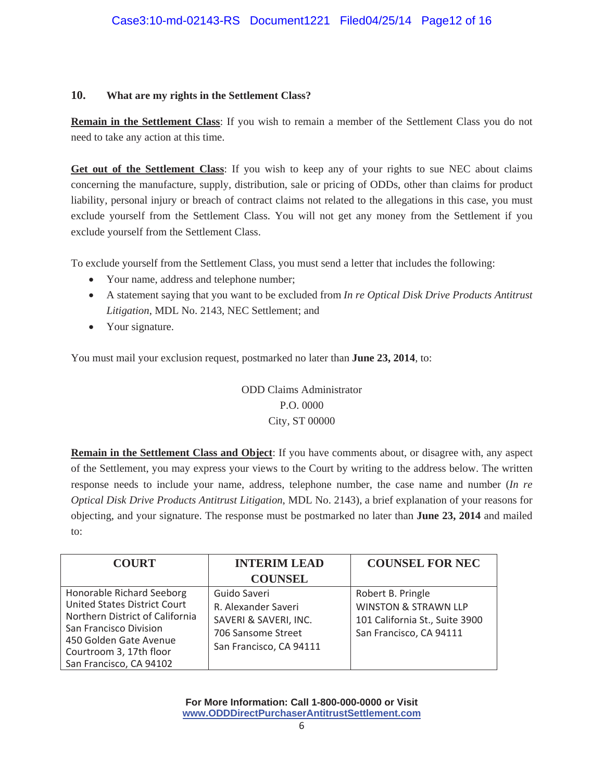#### **10. What are my rights in the Settlement Class?**

**Remain in the Settlement Class**: If you wish to remain a member of the Settlement Class you do not need to take any action at this time.

**Get out of the Settlement Class**: If you wish to keep any of your rights to sue NEC about claims concerning the manufacture, supply, distribution, sale or pricing of ODDs, other than claims for product liability, personal injury or breach of contract claims not related to the allegations in this case, you must exclude yourself from the Settlement Class. You will not get any money from the Settlement if you exclude yourself from the Settlement Class.

To exclude yourself from the Settlement Class, you must send a letter that includes the following:

- Your name, address and telephone number;
- x A statement saying that you want to be excluded from *In re Optical Disk Drive Products Antitrust Litigation*, MDL No. 2143, NEC Settlement; and
- Your signature.

You must mail your exclusion request, postmarked no later than **June 23, 2014**, to:

ODD Claims Administrator P.O. 0000 City, ST 00000

**Remain in the Settlement Class and Object**: If you have comments about, or disagree with, any aspect of the Settlement, you may express your views to the Court by writing to the address below. The written response needs to include your name, address, telephone number, the case name and number (*In re Optical Disk Drive Products Antitrust Litigation*, MDL No. 2143), a brief explanation of your reasons for objecting, and your signature. The response must be postmarked no later than **June 23, 2014** and mailed to:

| <b>COURT</b>                                                                                                                                                                                                  | <b>INTERIM LEAD</b>                                                                                           | <b>COUNSEL FOR NEC</b>                                                                                            |
|---------------------------------------------------------------------------------------------------------------------------------------------------------------------------------------------------------------|---------------------------------------------------------------------------------------------------------------|-------------------------------------------------------------------------------------------------------------------|
|                                                                                                                                                                                                               | <b>COUNSEL</b>                                                                                                |                                                                                                                   |
| Honorable Richard Seeborg<br><b>United States District Court</b><br>Northern District of California<br>San Francisco Division<br>450 Golden Gate Avenue<br>Courtroom 3, 17th floor<br>San Francisco, CA 94102 | Guido Saveri<br>R. Alexander Saveri<br>SAVERI & SAVERI, INC.<br>706 Sansome Street<br>San Francisco, CA 94111 | Robert B. Pringle<br><b>WINSTON &amp; STRAWN LLP</b><br>101 California St., Suite 3900<br>San Francisco, CA 94111 |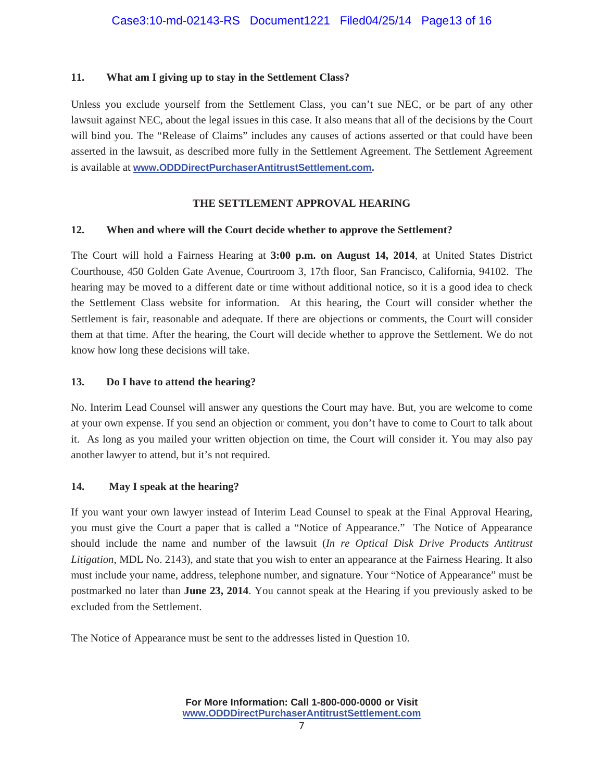#### **11. What am I giving up to stay in the Settlement Class?**

Unless you exclude yourself from the Settlement Class, you can't sue NEC, or be part of any other lawsuit against NEC, about the legal issues in this case. It also means that all of the decisions by the Court will bind you. The "Release of Claims" includes any causes of actions asserted or that could have been asserted in the lawsuit, as described more fully in the Settlement Agreement. The Settlement Agreement is available at **www.ODDDirectPurchaserAntitrustSettlement.com.**

#### **THE SETTLEMENT APPROVAL HEARING**

#### **12. When and where will the Court decide whether to approve the Settlement?**

The Court will hold a Fairness Hearing at **3:00 p.m. on August 14, 2014**, at United States District Courthouse, 450 Golden Gate Avenue, Courtroom 3, 17th floor, San Francisco, California, 94102. The hearing may be moved to a different date or time without additional notice, so it is a good idea to check the Settlement Class website for information. At this hearing, the Court will consider whether the Settlement is fair, reasonable and adequate. If there are objections or comments, the Court will consider them at that time. After the hearing, the Court will decide whether to approve the Settlement. We do not know how long these decisions will take.

#### **13. Do I have to attend the hearing?**

No. Interim Lead Counsel will answer any questions the Court may have. But, you are welcome to come at your own expense. If you send an objection or comment, you don't have to come to Court to talk about it. As long as you mailed your written objection on time, the Court will consider it. You may also pay another lawyer to attend, but it's not required.

#### **14. May I speak at the hearing?**

If you want your own lawyer instead of Interim Lead Counsel to speak at the Final Approval Hearing, you must give the Court a paper that is called a "Notice of Appearance." The Notice of Appearance should include the name and number of the lawsuit (*In re Optical Disk Drive Products Antitrust Litigation*, MDL No. 2143), and state that you wish to enter an appearance at the Fairness Hearing. It also must include your name, address, telephone number, and signature. Your "Notice of Appearance" must be postmarked no later than **June 23, 2014**. You cannot speak at the Hearing if you previously asked to be excluded from the Settlement.

The Notice of Appearance must be sent to the addresses listed in Question 10.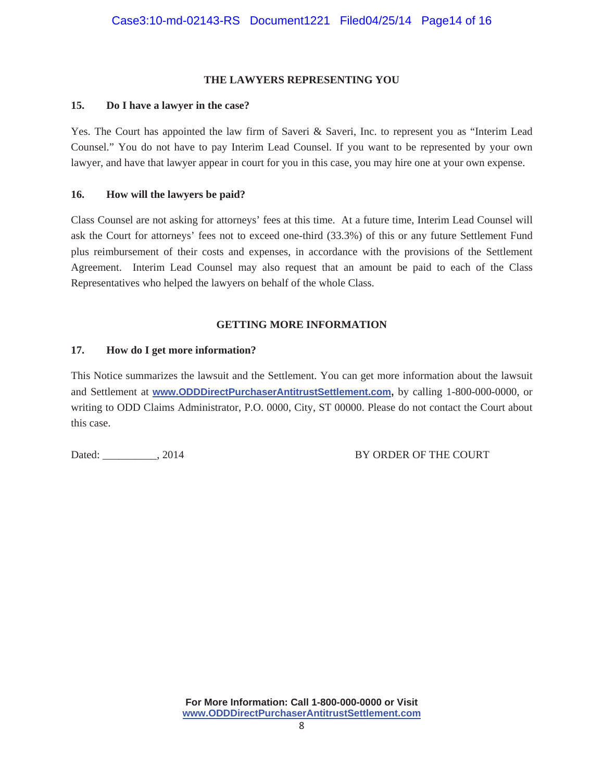#### **THE LAWYERS REPRESENTING YOU**

#### **15. Do I have a lawyer in the case?**

Yes. The Court has appointed the law firm of Saveri & Saveri, Inc. to represent you as "Interim Lead Counsel." You do not have to pay Interim Lead Counsel. If you want to be represented by your own lawyer, and have that lawyer appear in court for you in this case, you may hire one at your own expense.

#### **16. How will the lawyers be paid?**

Class Counsel are not asking for attorneys' fees at this time. At a future time, Interim Lead Counsel will ask the Court for attorneys' fees not to exceed one-third (33.3%) of this or any future Settlement Fund plus reimbursement of their costs and expenses, in accordance with the provisions of the Settlement Agreement. Interim Lead Counsel may also request that an amount be paid to each of the Class Representatives who helped the lawyers on behalf of the whole Class.

#### **GETTING MORE INFORMATION**

#### **17. How do I get more information?**

This Notice summarizes the lawsuit and the Settlement. You can get more information about the lawsuit and Settlement at **www.ODDDirectPurchaserAntitrustSettlement.com,** by calling 1-800-000-0000, or writing to ODD Claims Administrator, P.O. 0000, City, ST 00000. Please do not contact the Court about this case.

Dated: \_\_\_\_\_\_\_\_\_\_, 2014 BY ORDER OF THE COURT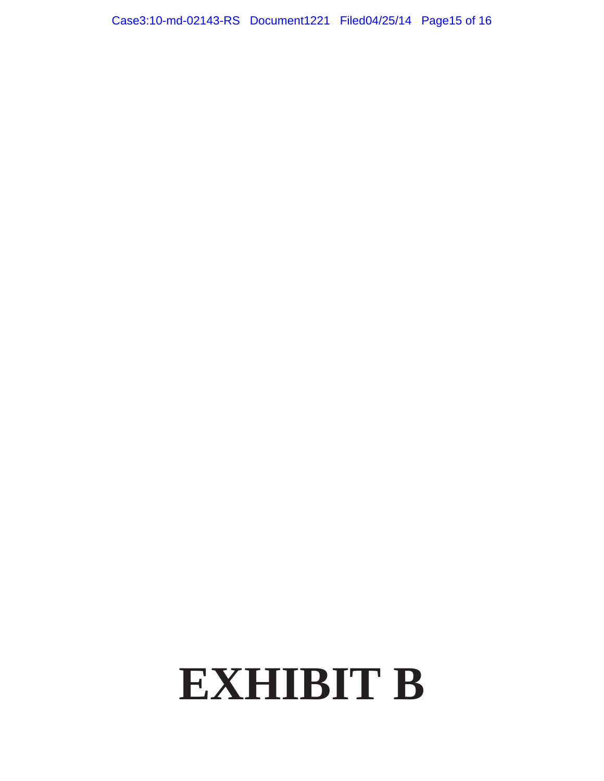Case3:10-md-02143-RS Document1221 Filed04/25/14 Page15 of 16

# **EXHIBIT B**